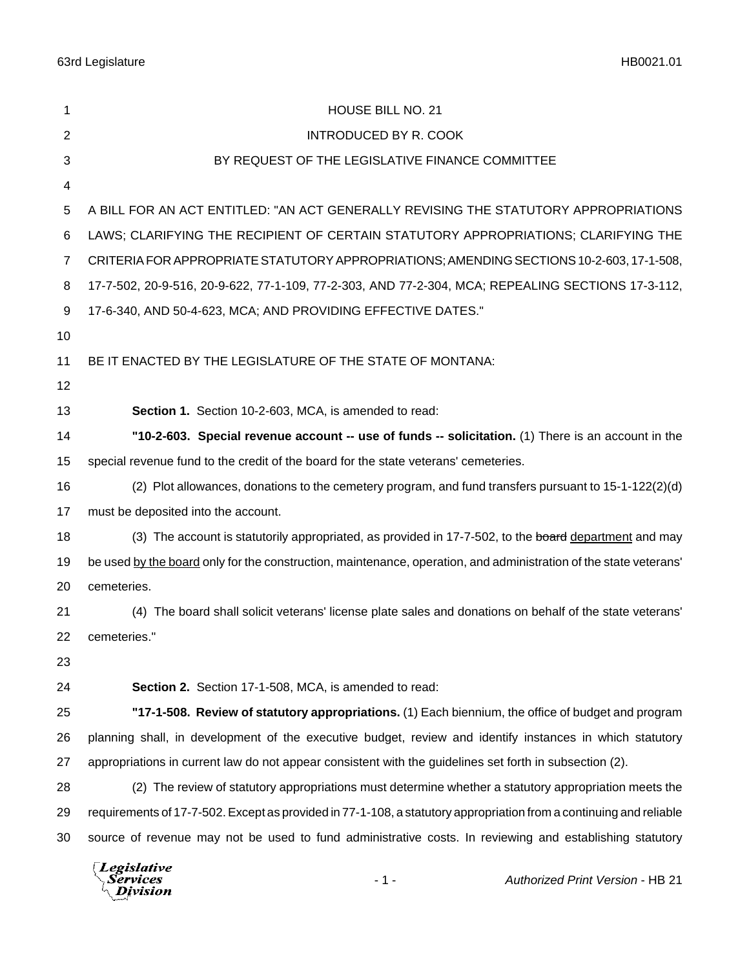| 1              | HOUSE BILL NO. 21                                                                                                  |  |  |  |
|----------------|--------------------------------------------------------------------------------------------------------------------|--|--|--|
| $\overline{2}$ | <b>INTRODUCED BY R. COOK</b>                                                                                       |  |  |  |
| 3              | BY REQUEST OF THE LEGISLATIVE FINANCE COMMITTEE                                                                    |  |  |  |
| 4              |                                                                                                                    |  |  |  |
| 5              | A BILL FOR AN ACT ENTITLED: "AN ACT GENERALLY REVISING THE STATUTORY APPROPRIATIONS                                |  |  |  |
| 6              | LAWS; CLARIFYING THE RECIPIENT OF CERTAIN STATUTORY APPROPRIATIONS; CLARIFYING THE                                 |  |  |  |
| 7              | CRITERIA FOR APPROPRIATE STATUTORY APPROPRIATIONS; AMENDING SECTIONS 10-2-603, 17-1-508,                           |  |  |  |
| 8              | 17-7-502, 20-9-516, 20-9-622, 77-1-109, 77-2-303, AND 77-2-304, MCA; REPEALING SECTIONS 17-3-112,                  |  |  |  |
| 9              | 17-6-340, AND 50-4-623, MCA; AND PROVIDING EFFECTIVE DATES."                                                       |  |  |  |
| 10             |                                                                                                                    |  |  |  |
| 11             | BE IT ENACTED BY THE LEGISLATURE OF THE STATE OF MONTANA:                                                          |  |  |  |
| 12             |                                                                                                                    |  |  |  |
| 13             | Section 1. Section 10-2-603, MCA, is amended to read:                                                              |  |  |  |
| 14             | "10-2-603. Special revenue account -- use of funds -- solicitation. (1) There is an account in the                 |  |  |  |
| 15             | special revenue fund to the credit of the board for the state veterans' cemeteries.                                |  |  |  |
| 16             | (2) Plot allowances, donations to the cemetery program, and fund transfers pursuant to 15-1-122(2)(d)              |  |  |  |
| 17             | must be deposited into the account.                                                                                |  |  |  |
| 18             | (3) The account is statutorily appropriated, as provided in 17-7-502, to the board department and may              |  |  |  |
| 19             | be used by the board only for the construction, maintenance, operation, and administration of the state veterans'  |  |  |  |
| 20             | cemeteries.                                                                                                        |  |  |  |
| 21             | (4) The board shall solicit veterans' license plate sales and donations on behalf of the state veterans'           |  |  |  |
| 22             | cemeteries."                                                                                                       |  |  |  |
| 23             |                                                                                                                    |  |  |  |
| 24             | Section 2. Section 17-1-508, MCA, is amended to read:                                                              |  |  |  |
| 25             | "17-1-508. Review of statutory appropriations. (1) Each biennium, the office of budget and program                 |  |  |  |
| 26             | planning shall, in development of the executive budget, review and identify instances in which statutory           |  |  |  |
| 27             | appropriations in current law do not appear consistent with the guidelines set forth in subsection (2).            |  |  |  |
| 28             | (2) The review of statutory appropriations must determine whether a statutory appropriation meets the              |  |  |  |
| 29             | requirements of 17-7-502. Except as provided in 77-1-108, a statutory appropriation from a continuing and reliable |  |  |  |
| 30             | source of revenue may not be used to fund administrative costs. In reviewing and establishing statutory            |  |  |  |
|                |                                                                                                                    |  |  |  |

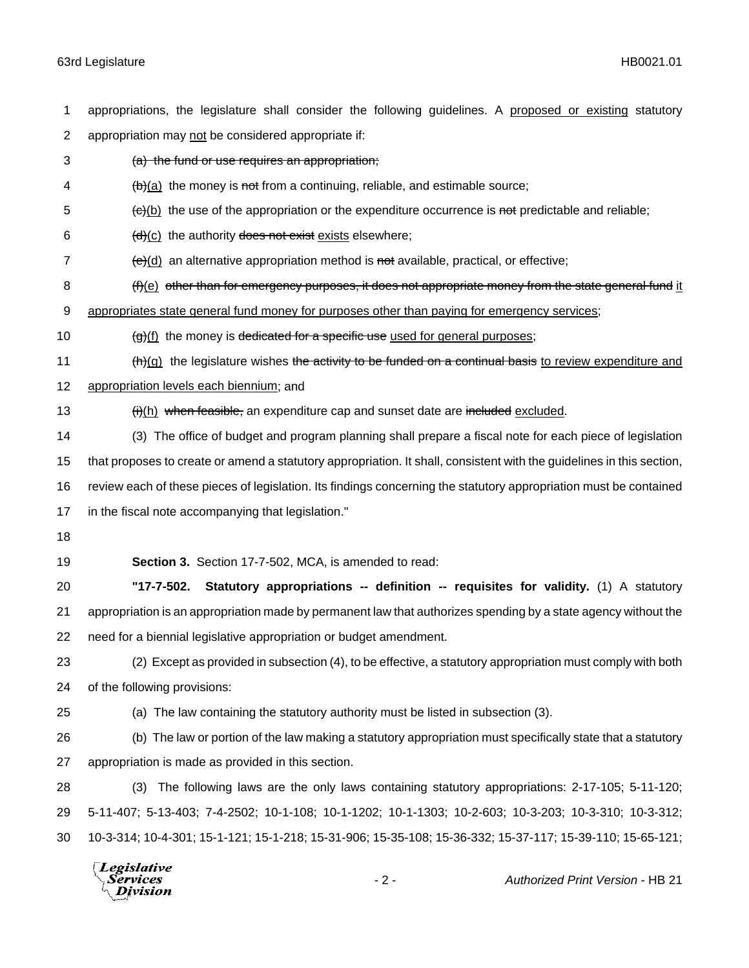appropriations, the legislature shall consider the following guidelines. A proposed or existing statutory 2 appropriation may not be considered appropriate if: (a) the fund or use requires an appropriation;  $\left(\frac{b}{c}\right)$  (a) the money is not from a continuing, reliable, and estimable source;  $\epsilon$  (c)(b) the use of the appropriation or the expenditure occurrence is not predictable and reliable;  $(d)(c)$  the authority does not exist exists elsewhere;  $\left(\frac{e}{d}\right)$  an alternative appropriation method is not available, practical, or effective; 8 (f)(e) other than for emergency purposes, it does not appropriate money from the state general fund it appropriates state general fund money for purposes other than paying for emergency services;  $\left(\frac{g}{f}\right)$  the money is dedicated for a specific use used for general purposes;  $(h)(g)$  the legislature wishes the activity to be funded on a continual basis to review expenditure and appropriation levels each biennium; and 13 (i)(h) when feasible, an expenditure cap and sunset date are included excluded. (3) The office of budget and program planning shall prepare a fiscal note for each piece of legislation that proposes to create or amend a statutory appropriation. It shall, consistent with the guidelines in this section, review each of these pieces of legislation. Its findings concerning the statutory appropriation must be contained in the fiscal note accompanying that legislation." **Section 3.** Section 17-7-502, MCA, is amended to read: **"17-7-502. Statutory appropriations -- definition -- requisites for validity.** (1) A statutory appropriation is an appropriation made by permanent law that authorizes spending by a state agency without the need for a biennial legislative appropriation or budget amendment. (2) Except as provided in subsection (4), to be effective, a statutory appropriation must comply with both of the following provisions: (a) The law containing the statutory authority must be listed in subsection (3). (b) The law or portion of the law making a statutory appropriation must specifically state that a statutory appropriation is made as provided in this section. (3) The following laws are the only laws containing statutory appropriations: 2-17-105; 5-11-120; 5-11-407; 5-13-403; 7-4-2502; 10-1-108; 10-1-1202; 10-1-1303; 10-2-603; 10-3-203; 10-3-310; 10-3-312; 10-3-314; 10-4-301; 15-1-121; 15-1-218; 15-31-906; 15-35-108; 15-36-332; 15-37-117; 15-39-110; 15-65-121;

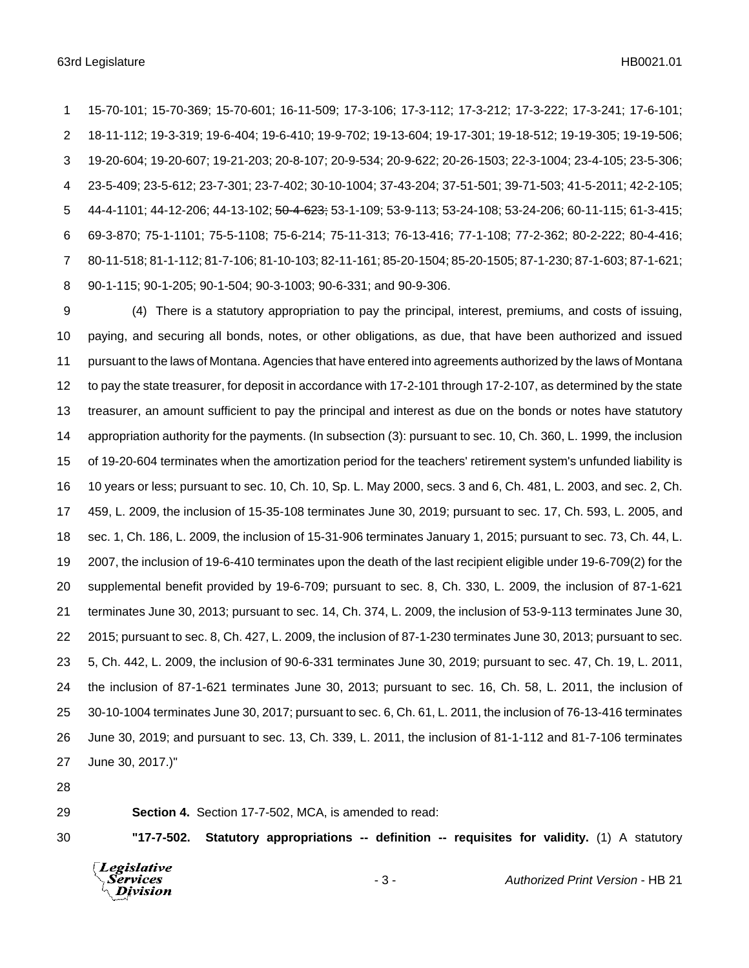15-70-101; 15-70-369; 15-70-601; 16-11-509; 17-3-106; 17-3-112; 17-3-212; 17-3-222; 17-3-241; 17-6-101; 18-11-112; 19-3-319; 19-6-404; 19-6-410; 19-9-702; 19-13-604; 19-17-301; 19-18-512; 19-19-305; 19-19-506; 19-20-604; 19-20-607; 19-21-203; 20-8-107; 20-9-534; 20-9-622; 20-26-1503; 22-3-1004; 23-4-105; 23-5-306; 23-5-409; 23-5-612; 23-7-301; 23-7-402; 30-10-1004; 37-43-204; 37-51-501; 39-71-503; 41-5-2011; 42-2-105; 44-4-1101; 44-12-206; 44-13-102; 50-4-623; 53-1-109; 53-9-113; 53-24-108; 53-24-206; 60-11-115; 61-3-415; 69-3-870; 75-1-1101; 75-5-1108; 75-6-214; 75-11-313; 76-13-416; 77-1-108; 77-2-362; 80-2-222; 80-4-416; 80-11-518; 81-1-112; 81-7-106; 81-10-103; 82-11-161; 85-20-1504; 85-20-1505; 87-1-230; 87-1-603; 87-1-621; 90-1-115; 90-1-205; 90-1-504; 90-3-1003; 90-6-331; and 90-9-306.

 (4) There is a statutory appropriation to pay the principal, interest, premiums, and costs of issuing, paying, and securing all bonds, notes, or other obligations, as due, that have been authorized and issued pursuant to the laws of Montana. Agencies that have entered into agreements authorized by the laws of Montana to pay the state treasurer, for deposit in accordance with 17-2-101 through 17-2-107, as determined by the state treasurer, an amount sufficient to pay the principal and interest as due on the bonds or notes have statutory appropriation authority for the payments. (In subsection (3): pursuant to sec. 10, Ch. 360, L. 1999, the inclusion of 19-20-604 terminates when the amortization period for the teachers' retirement system's unfunded liability is 10 years or less; pursuant to sec. 10, Ch. 10, Sp. L. May 2000, secs. 3 and 6, Ch. 481, L. 2003, and sec. 2, Ch. 459, L. 2009, the inclusion of 15-35-108 terminates June 30, 2019; pursuant to sec. 17, Ch. 593, L. 2005, and sec. 1, Ch. 186, L. 2009, the inclusion of 15-31-906 terminates January 1, 2015; pursuant to sec. 73, Ch. 44, L. 2007, the inclusion of 19-6-410 terminates upon the death of the last recipient eligible under 19-6-709(2) for the supplemental benefit provided by 19-6-709; pursuant to sec. 8, Ch. 330, L. 2009, the inclusion of 87-1-621 terminates June 30, 2013; pursuant to sec. 14, Ch. 374, L. 2009, the inclusion of 53-9-113 terminates June 30, 2015; pursuant to sec. 8, Ch. 427, L. 2009, the inclusion of 87-1-230 terminates June 30, 2013; pursuant to sec. 5, Ch. 442, L. 2009, the inclusion of 90-6-331 terminates June 30, 2019; pursuant to sec. 47, Ch. 19, L. 2011, the inclusion of 87-1-621 terminates June 30, 2013; pursuant to sec. 16, Ch. 58, L. 2011, the inclusion of 30-10-1004 terminates June 30, 2017; pursuant to sec. 6, Ch. 61, L. 2011, the inclusion of 76-13-416 terminates June 30, 2019; and pursuant to sec. 13, Ch. 339, L. 2011, the inclusion of 81-1-112 and 81-7-106 terminates June 30, 2017.)"

**Section 4.** Section 17-7-502, MCA, is amended to read:

**"17-7-502. Statutory appropriations -- definition -- requisites for validity.** (1) A statutory



- 3 - *Authorized Print Version* - HB 21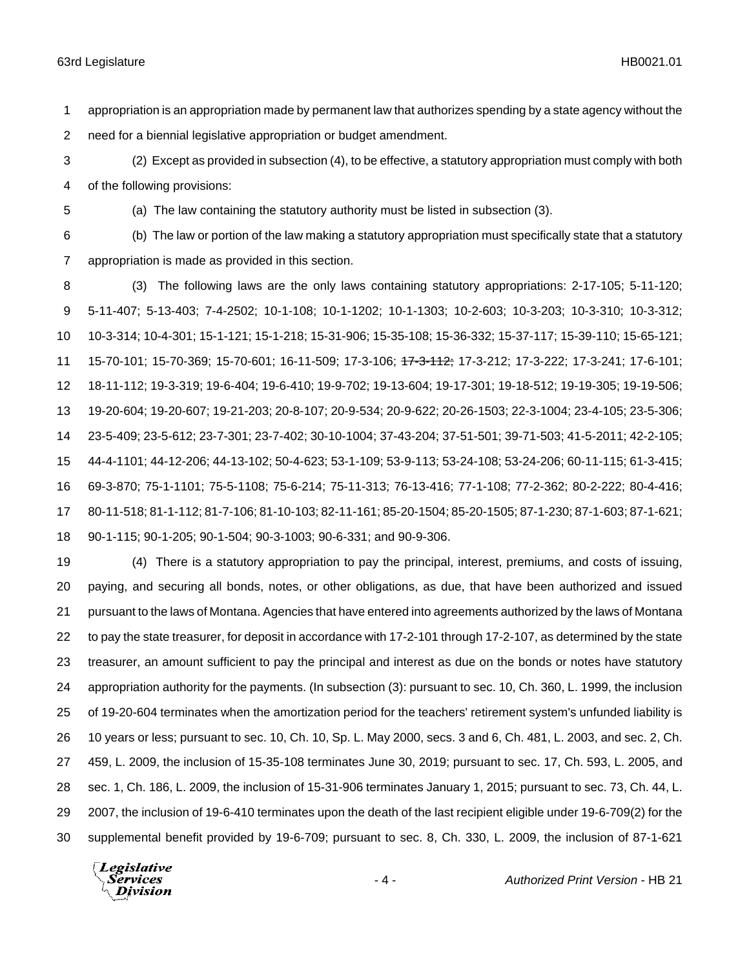appropriation is an appropriation made by permanent law that authorizes spending by a state agency without the need for a biennial legislative appropriation or budget amendment.

 (2) Except as provided in subsection (4), to be effective, a statutory appropriation must comply with both of the following provisions:

(a) The law containing the statutory authority must be listed in subsection (3).

(b) The law or portion of the law making a statutory appropriation must specifically state that a statutory

appropriation is made as provided in this section.

 (3) The following laws are the only laws containing statutory appropriations: 2-17-105; 5-11-120; 5-11-407; 5-13-403; 7-4-2502; 10-1-108; 10-1-1202; 10-1-1303; 10-2-603; 10-3-203; 10-3-310; 10-3-312; 10-3-314; 10-4-301; 15-1-121; 15-1-218; 15-31-906; 15-35-108; 15-36-332; 15-37-117; 15-39-110; 15-65-121; 15-70-101; 15-70-369; 15-70-601; 16-11-509; 17-3-106; 17-3-112; 17-3-212; 17-3-222; 17-3-241; 17-6-101; 18-11-112; 19-3-319; 19-6-404; 19-6-410; 19-9-702; 19-13-604; 19-17-301; 19-18-512; 19-19-305; 19-19-506; 19-20-604; 19-20-607; 19-21-203; 20-8-107; 20-9-534; 20-9-622; 20-26-1503; 22-3-1004; 23-4-105; 23-5-306; 23-5-409; 23-5-612; 23-7-301; 23-7-402; 30-10-1004; 37-43-204; 37-51-501; 39-71-503; 41-5-2011; 42-2-105; 44-4-1101; 44-12-206; 44-13-102; 50-4-623; 53-1-109; 53-9-113; 53-24-108; 53-24-206; 60-11-115; 61-3-415; 69-3-870; 75-1-1101; 75-5-1108; 75-6-214; 75-11-313; 76-13-416; 77-1-108; 77-2-362; 80-2-222; 80-4-416; 80-11-518; 81-1-112; 81-7-106; 81-10-103; 82-11-161; 85-20-1504; 85-20-1505; 87-1-230; 87-1-603; 87-1-621; 90-1-115; 90-1-205; 90-1-504; 90-3-1003; 90-6-331; and 90-9-306.

 (4) There is a statutory appropriation to pay the principal, interest, premiums, and costs of issuing, paying, and securing all bonds, notes, or other obligations, as due, that have been authorized and issued pursuant to the laws of Montana. Agencies that have entered into agreements authorized by the laws of Montana to pay the state treasurer, for deposit in accordance with 17-2-101 through 17-2-107, as determined by the state treasurer, an amount sufficient to pay the principal and interest as due on the bonds or notes have statutory appropriation authority for the payments. (In subsection (3): pursuant to sec. 10, Ch. 360, L. 1999, the inclusion of 19-20-604 terminates when the amortization period for the teachers' retirement system's unfunded liability is 10 years or less; pursuant to sec. 10, Ch. 10, Sp. L. May 2000, secs. 3 and 6, Ch. 481, L. 2003, and sec. 2, Ch. 459, L. 2009, the inclusion of 15-35-108 terminates June 30, 2019; pursuant to sec. 17, Ch. 593, L. 2005, and sec. 1, Ch. 186, L. 2009, the inclusion of 15-31-906 terminates January 1, 2015; pursuant to sec. 73, Ch. 44, L. 2007, the inclusion of 19-6-410 terminates upon the death of the last recipient eligible under 19-6-709(2) for the supplemental benefit provided by 19-6-709; pursuant to sec. 8, Ch. 330, L. 2009, the inclusion of 87-1-621

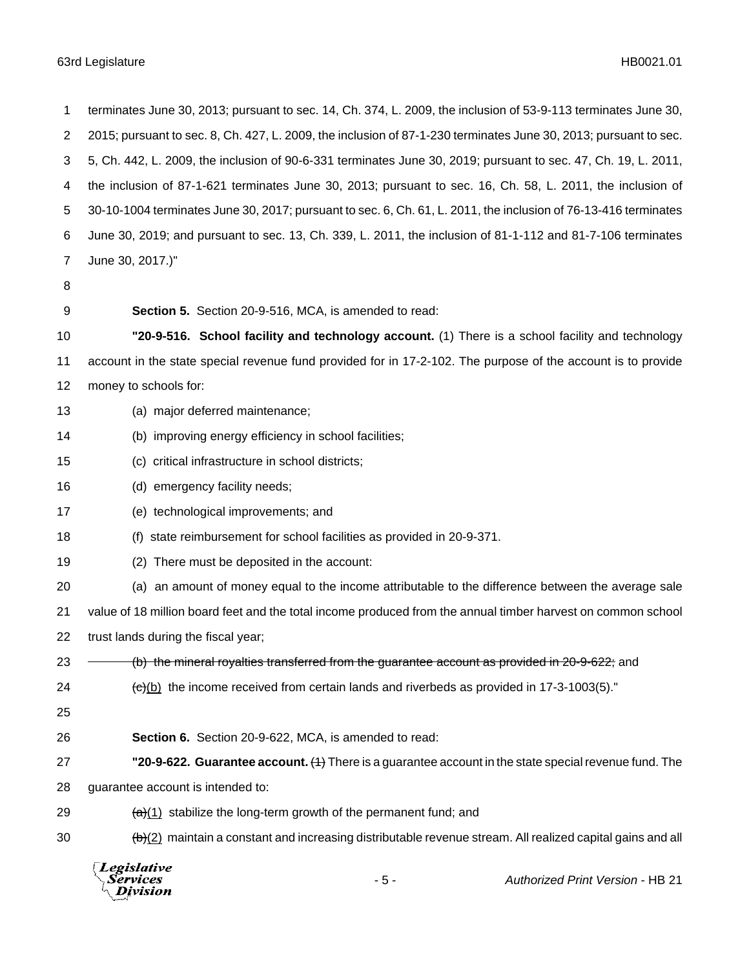| 1              | terminates June 30, 2013; pursuant to sec. 14, Ch. 374, L. 2009, the inclusion of 53-9-113 terminates June 30,    |  |  |  |  |
|----------------|-------------------------------------------------------------------------------------------------------------------|--|--|--|--|
| $\overline{2}$ | 2015; pursuant to sec. 8, Ch. 427, L. 2009, the inclusion of 87-1-230 terminates June 30, 2013; pursuant to sec.  |  |  |  |  |
| 3              | 5, Ch. 442, L. 2009, the inclusion of 90-6-331 terminates June 30, 2019; pursuant to sec. 47, Ch. 19, L. 2011,    |  |  |  |  |
| 4              | the inclusion of 87-1-621 terminates June 30, 2013; pursuant to sec. 16, Ch. 58, L. 2011, the inclusion of        |  |  |  |  |
| 5              | 30-10-1004 terminates June 30, 2017; pursuant to sec. 6, Ch. 61, L. 2011, the inclusion of 76-13-416 terminates   |  |  |  |  |
| 6              | June 30, 2019; and pursuant to sec. 13, Ch. 339, L. 2011, the inclusion of 81-1-112 and 81-7-106 terminates       |  |  |  |  |
| 7              | June 30, 2017.)"                                                                                                  |  |  |  |  |
| 8              |                                                                                                                   |  |  |  |  |
| 9              | Section 5. Section 20-9-516, MCA, is amended to read:                                                             |  |  |  |  |
| 10             | "20-9-516. School facility and technology account. (1) There is a school facility and technology                  |  |  |  |  |
| 11             | account in the state special revenue fund provided for in 17-2-102. The purpose of the account is to provide      |  |  |  |  |
| 12             | money to schools for:                                                                                             |  |  |  |  |
| 13             | (a) major deferred maintenance;                                                                                   |  |  |  |  |
| 14             | (b) improving energy efficiency in school facilities;                                                             |  |  |  |  |
| 15             | (c) critical infrastructure in school districts;                                                                  |  |  |  |  |
| 16             | (d) emergency facility needs;                                                                                     |  |  |  |  |
| 17             | (e) technological improvements; and                                                                               |  |  |  |  |
| 18             | state reimbursement for school facilities as provided in 20-9-371.<br>(1)                                         |  |  |  |  |
| 19             | (2) There must be deposited in the account:                                                                       |  |  |  |  |
| 20             | (a) an amount of money equal to the income attributable to the difference between the average sale                |  |  |  |  |
| 21             | value of 18 million board feet and the total income produced from the annual timber harvest on common school      |  |  |  |  |
| 22             | trust lands during the fiscal year;                                                                               |  |  |  |  |
| 23             | (b) the mineral royalties transferred from the guarantee account as provided in 20-9-622; and                     |  |  |  |  |
| 24             | $\left(\frac{e}{e}\right)$ the income received from certain lands and riverbeds as provided in 17-3-1003(5).      |  |  |  |  |
| 25             |                                                                                                                   |  |  |  |  |
| 26             | Section 6. Section 20-9-622, MCA, is amended to read:                                                             |  |  |  |  |
| 27             | "20-9-622. Guarantee account. $(1)$ There is a guarantee account in the state special revenue fund. The           |  |  |  |  |
| 28             | guarantee account is intended to:                                                                                 |  |  |  |  |
| 29             | $\frac{a}{a}(1)$ stabilize the long-term growth of the permanent fund; and                                        |  |  |  |  |
| 30             | $\frac{b}{c}$ maintain a constant and increasing distributable revenue stream. All realized capital gains and all |  |  |  |  |
|                | Legislative<br>$-5-$<br><b>Authorized Print Version - HB 21</b><br>Services<br>Division                           |  |  |  |  |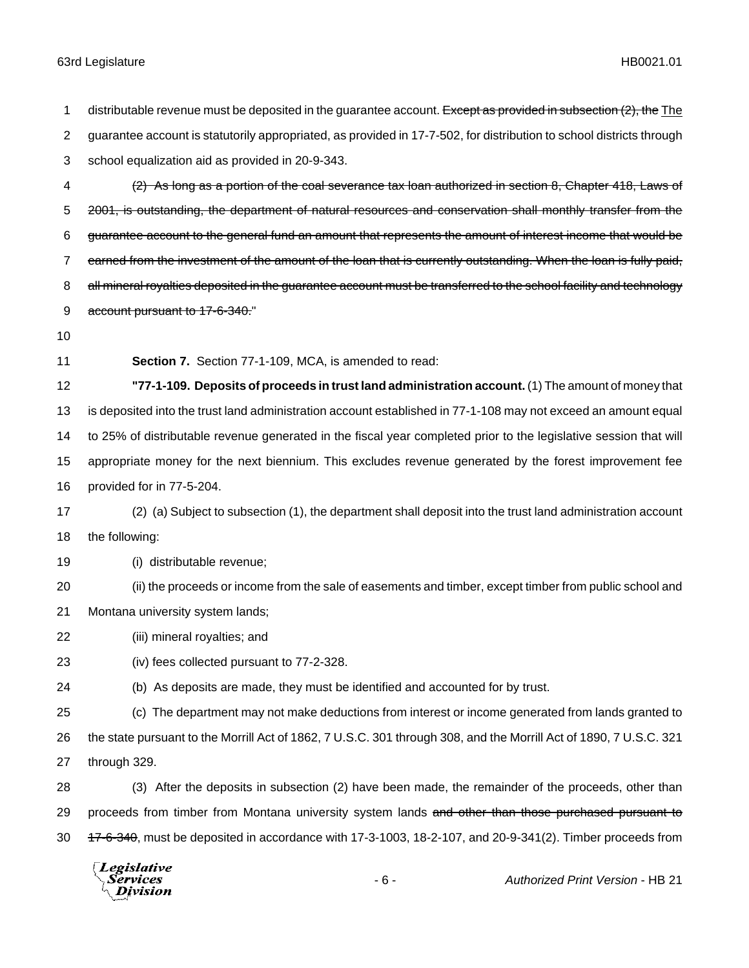1 distributable revenue must be deposited in the guarantee account. Except as provided in subsection (2), the The guarantee account is statutorily appropriated, as provided in 17-7-502, for distribution to school districts through school equalization aid as provided in 20-9-343. (2) As long as a portion of the coal severance tax loan authorized in section 8, Chapter 418, Laws of 5 2001, is outstanding, the department of natural resources and conservation shall monthly transfer from the guarantee account to the general fund an amount that represents the amount of interest income that would be 7 earned from the investment of the amount of the loan that is currently outstanding. When the loan is fully paid, 8 all mineral royalties deposited in the guarantee account must be transferred to the school facility and technology 9 account pursuant to 17-6-340." **Section 7.** Section 77-1-109, MCA, is amended to read: **"77-1-109. Deposits of proceeds in trust land administration account.** (1) The amount of money that is deposited into the trust land administration account established in 77-1-108 may not exceed an amount equal to 25% of distributable revenue generated in the fiscal year completed prior to the legislative session that will appropriate money for the next biennium. This excludes revenue generated by the forest improvement fee provided for in 77-5-204. (2) (a) Subject to subsection (1), the department shall deposit into the trust land administration account the following: (i) distributable revenue; (ii) the proceeds or income from the sale of easements and timber, except timber from public school and Montana university system lands; (iii) mineral royalties; and (iv) fees collected pursuant to 77-2-328. (b) As deposits are made, they must be identified and accounted for by trust. (c) The department may not make deductions from interest or income generated from lands granted to the state pursuant to the Morrill Act of 1862, 7 U.S.C. 301 through 308, and the Morrill Act of 1890, 7 U.S.C. 321 through 329. (3) After the deposits in subsection (2) have been made, the remainder of the proceeds, other than 29 proceeds from timber from Montana university system lands and other than those purchased pursuant to 30 17-6-340, must be deposited in accordance with 17-3-1003, 18-2-107, and 20-9-341(2). Timber proceeds from

Legislative *Services* **Division**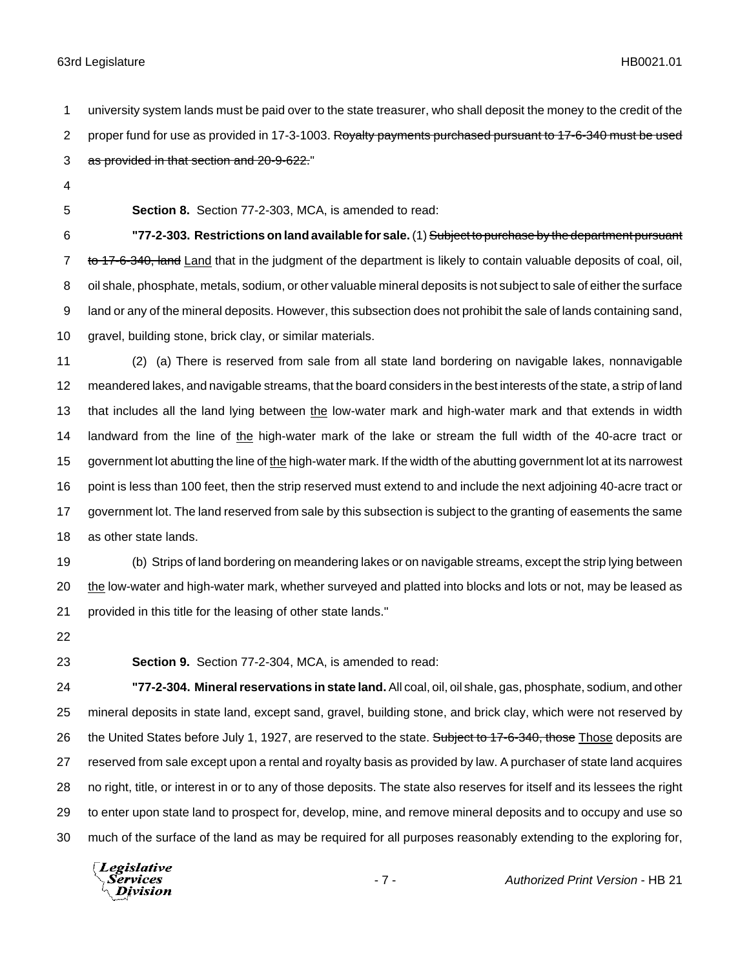university system lands must be paid over to the state treasurer, who shall deposit the money to the credit of the 2 proper fund for use as provided in 17-3-1003. Rovalty payments purchased pursuant to 17-6-340 must be used

- 3 as provided in that section and 20-9-622."
- 
- 

**Section 8.** Section 77-2-303, MCA, is amended to read:

 **"77-2-303. Restrictions on land available for sale.** (1) Subject to purchase by the department pursuant 7 to 17-6-340, land Land that in the judgment of the department is likely to contain valuable deposits of coal, oil, oil shale, phosphate, metals, sodium, or other valuable mineral deposits is not subject to sale of either the surface land or any of the mineral deposits. However, this subsection does not prohibit the sale of lands containing sand, gravel, building stone, brick clay, or similar materials.

 (2) (a) There is reserved from sale from all state land bordering on navigable lakes, nonnavigable meandered lakes, and navigable streams, that the board considers in the best interests of the state, a strip of land 13 that includes all the land lying between the low-water mark and high-water mark and that extends in width 14 landward from the line of the high-water mark of the lake or stream the full width of the 40-acre tract or government lot abutting the line of the high-water mark. If the width of the abutting government lot at its narrowest point is less than 100 feet, then the strip reserved must extend to and include the next adjoining 40-acre tract or government lot. The land reserved from sale by this subsection is subject to the granting of easements the same as other state lands.

 (b) Strips of land bordering on meandering lakes or on navigable streams, except the strip lying between the low-water and high-water mark, whether surveyed and platted into blocks and lots or not, may be leased as provided in this title for the leasing of other state lands."

**Section 9.** Section 77-2-304, MCA, is amended to read:

 **"77-2-304. Mineral reservations in state land.** All coal, oil, oil shale, gas, phosphate, sodium, and other mineral deposits in state land, except sand, gravel, building stone, and brick clay, which were not reserved by 26 the United States before July 1, 1927, are reserved to the state. Subject to 17-6-340, those Those deposits are reserved from sale except upon a rental and royalty basis as provided by law. A purchaser of state land acquires no right, title, or interest in or to any of those deposits. The state also reserves for itself and its lessees the right to enter upon state land to prospect for, develop, mine, and remove mineral deposits and to occupy and use so much of the surface of the land as may be required for all purposes reasonably extending to the exploring for,

Legislative Services **Division**